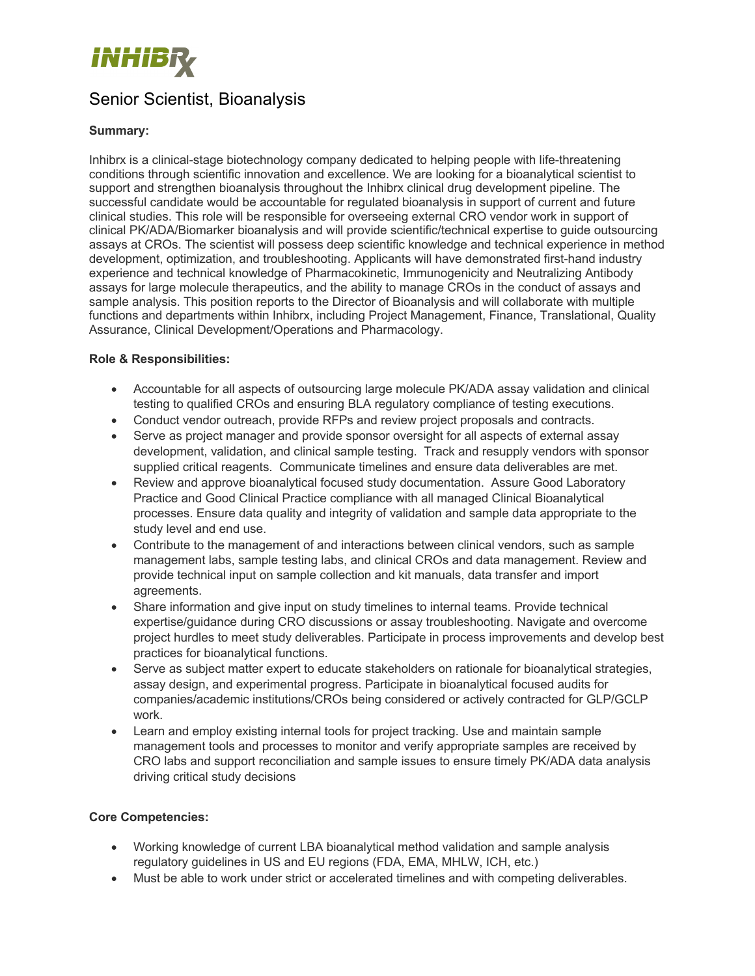

# Senior Scientist, Bioanalysis

## **Summary:**

Inhibrx is a clinical-stage biotechnology company dedicated to helping people with life-threatening conditions through scientific innovation and excellence. We are looking for a bioanalytical scientist to support and strengthen bioanalysis throughout the Inhibrx clinical drug development pipeline. The successful candidate would be accountable for regulated bioanalysis in support of current and future clinical studies. This role will be responsible for overseeing external CRO vendor work in support of clinical PK/ADA/Biomarker bioanalysis and will provide scientific/technical expertise to guide outsourcing assays at CROs. The scientist will possess deep scientific knowledge and technical experience in method development, optimization, and troubleshooting. Applicants will have demonstrated first-hand industry experience and technical knowledge of Pharmacokinetic, Immunogenicity and Neutralizing Antibody assays for large molecule therapeutics, and the ability to manage CROs in the conduct of assays and sample analysis. This position reports to the Director of Bioanalysis and will collaborate with multiple functions and departments within Inhibrx, including Project Management, Finance, Translational, Quality Assurance, Clinical Development/Operations and Pharmacology.

## **Role & Responsibilities:**

- Accountable for all aspects of outsourcing large molecule PK/ADA assay validation and clinical testing to qualified CROs and ensuring BLA regulatory compliance of testing executions.
- Conduct vendor outreach, provide RFPs and review project proposals and contracts.
- Serve as project manager and provide sponsor oversight for all aspects of external assay development, validation, and clinical sample testing. Track and resupply vendors with sponsor supplied critical reagents. Communicate timelines and ensure data deliverables are met.
- Review and approve bioanalytical focused study documentation. Assure Good Laboratory Practice and Good Clinical Practice compliance with all managed Clinical Bioanalytical processes. Ensure data quality and integrity of validation and sample data appropriate to the study level and end use.
- Contribute to the management of and interactions between clinical vendors, such as sample management labs, sample testing labs, and clinical CROs and data management. Review and provide technical input on sample collection and kit manuals, data transfer and import agreements.
- Share information and give input on study timelines to internal teams. Provide technical expertise/guidance during CRO discussions or assay troubleshooting. Navigate and overcome project hurdles to meet study deliverables. Participate in process improvements and develop best practices for bioanalytical functions.
- Serve as subject matter expert to educate stakeholders on rationale for bioanalytical strategies, assay design, and experimental progress. Participate in bioanalytical focused audits for companies/academic institutions/CROs being considered or actively contracted for GLP/GCLP work.
- Learn and employ existing internal tools for project tracking. Use and maintain sample management tools and processes to monitor and verify appropriate samples are received by CRO labs and support reconciliation and sample issues to ensure timely PK/ADA data analysis driving critical study decisions

#### **Core Competencies:**

- Working knowledge of current LBA bioanalytical method validation and sample analysis regulatory guidelines in US and EU regions (FDA, EMA, MHLW, ICH, etc.)
- Must be able to work under strict or accelerated timelines and with competing deliverables.